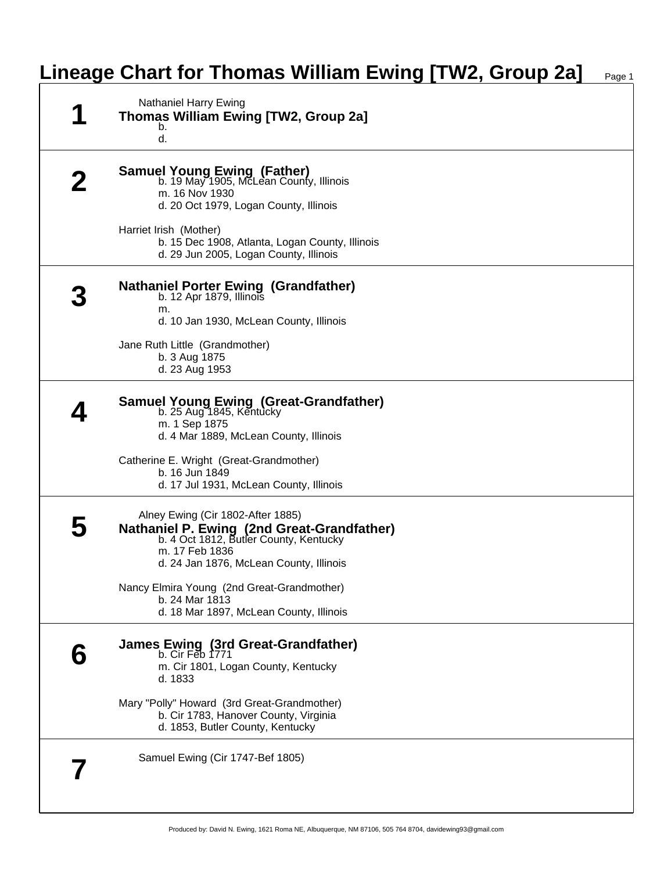## **Lineage Chart for Thomas William Ewing [TW2, Group 2a]** Page 1

| Nathaniel Harry Ewing<br><b>Thomas William Ewing [TW2, Group 2a]</b><br>b.<br>d.                                                                                                       |
|----------------------------------------------------------------------------------------------------------------------------------------------------------------------------------------|
| <b>Samuel Young Ewing (Father)</b><br>b. 19 May 1905, McLean County, Illinois<br>m. 16 Nov 1930<br>d. 20 Oct 1979, Logan County, Illinois                                              |
| Harriet Irish (Mother)<br>b. 15 Dec 1908, Atlanta, Logan County, Illinois<br>d. 29 Jun 2005, Logan County, Illinois                                                                    |
| <b>Nathaniel Porter Ewing (Grandfather)</b><br>b. 12 Apr 1879, Illinois<br>m.<br>d. 10 Jan 1930, McLean County, Illinois                                                               |
| Jane Ruth Little (Grandmother)<br>b. 3 Aug 1875<br>d. 23 Aug 1953                                                                                                                      |
| <b>Samuel Young Ewing (Great-Grandfather)</b><br>b. 25 Aug 1845, Kentucky<br>m. 1 Sep 1875<br>d. 4 Mar 1889, McLean County, Illinois                                                   |
| Catherine E. Wright (Great-Grandmother)<br>b. 16 Jun 1849<br>d. 17 Jul 1931, McLean County, Illinois                                                                                   |
| Alney Ewing (Cir 1802-After 1885)<br>Nathaniel P. Ewing (2nd Great-Grandfather)<br>b. 4 Oct 1812, Butler County, Kentucky<br>m. 17 Feb 1836<br>d. 24 Jan 1876, McLean County, Illinois |
| Nancy Elmira Young (2nd Great-Grandmother)<br>b. 24 Mar 1813<br>d. 18 Mar 1897, McLean County, Illinois                                                                                |
| James Ewing (3rd Great-Grandfather)<br>b. Cir Feb 1771<br>m. Cir 1801, Logan County, Kentucky<br>d. 1833                                                                               |
| Mary "Polly" Howard (3rd Great-Grandmother)<br>b. Cir 1783, Hanover County, Virginia<br>d. 1853, Butler County, Kentucky                                                               |
| Samuel Ewing (Cir 1747-Bef 1805)                                                                                                                                                       |
|                                                                                                                                                                                        |